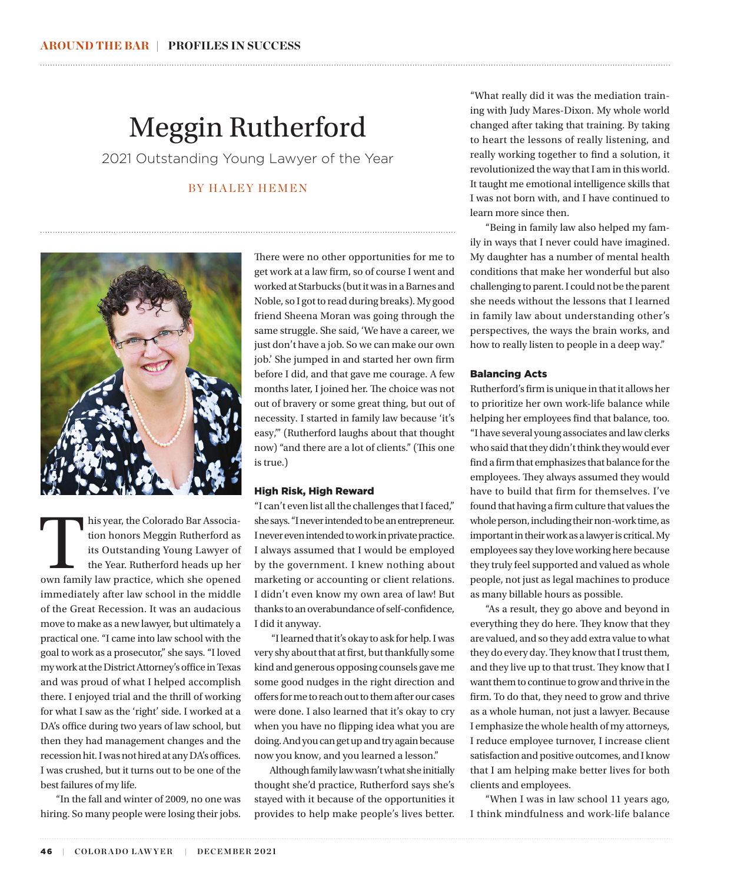## Meggin Rutherford

2021 Outstanding Young Lawyer of the Year

### BY HALEY HEMEN



his year, the Colorado Bar Association honors Meggin Rutherford as<br>its Outstanding Young Lawyer of<br>the Year. Rutherford heads up her<br>own family law practice, which she opened tion honors Meggin Rutherford as its Outstanding Young Lawyer of the Year. Rutherford heads up her immediately after law school in the middle of the Great Recession. It was an audacious move to make as a new lawyer, but ultimately a practical one. "I came into law school with the goal to work as a prosecutor," she says. "I loved my work at the District Attorney's office in Texas and was proud of what I helped accomplish there. I enjoyed trial and the thrill of working for what I saw as the 'right' side. I worked at a DA's office during two years of law school, but then they had management changes and the recession hit. I was not hired at any DA's offices. I was crushed, but it turns out to be one of the best failures of my life.

"In the fall and winter of 2009, no one was hiring. So many people were losing their jobs.

There were no other opportunities for me to get work at a law firm, so of course I went and worked at Starbucks (but it was in a Barnes and Noble, so I got to read during breaks). My good friend Sheena Moran was going through the same struggle. She said, 'We have a career, we just don't have a job. So we can make our own job.' She jumped in and started her own firm before I did, and that gave me courage. A few months later, I joined her. The choice was not out of bravery or some great thing, but out of necessity. I started in family law because 'it's easy,'" (Rutherford laughs about that thought now) "and there are a lot of clients." (This one is true.)

#### High Risk, High Reward

"I can't even list all the challenges that I faced," she says. "I never intended to be an entrepreneur. I never even intended to work in private practice. I always assumed that I would be employed by the government. I knew nothing about marketing or accounting or client relations. I didn't even know my own area of law! But thanks to an overabundance of self-confidence, I did it anyway.

 "I learned that it's okay to ask for help. I was very shy about that at first, but thankfully some kind and generous opposing counsels gave me some good nudges in the right direction and offers for me to reach out to them after our cases were done. I also learned that it's okay to cry when you have no flipping idea what you are doing. And you can get up and try again because now you know, and you learned a lesson."

Although family law wasn't what she initially thought she'd practice, Rutherford says she's stayed with it because of the opportunities it provides to help make people's lives better.

"What really did it was the mediation training with Judy Mares-Dixon. My whole world changed after taking that training. By taking to heart the lessons of really listening, and really working together to find a solution, it revolutionized the way that I am in this world. It taught me emotional intelligence skills that I was not born with, and I have continued to learn more since then.

"Being in family law also helped my family in ways that I never could have imagined. My daughter has a number of mental health conditions that make her wonderful but also challenging to parent. I could not be the parent she needs without the lessons that I learned in family law about understanding other's perspectives, the ways the brain works, and how to really listen to people in a deep way."

#### Balancing Acts

Rutherford's firm is unique in that it allows her to prioritize her own work-life balance while helping her employees find that balance, too. "I have several young associates and law clerks who said that they didn't think they would ever find a firm that emphasizes that balance for the employees. They always assumed they would have to build that firm for themselves. I've found that having a firm culture that values the whole person, including their non-work time, as important in their work as a lawyer is critical. My employees say they love working here because they truly feel supported and valued as whole people, not just as legal machines to produce as many billable hours as possible.

"As a result, they go above and beyond in everything they do here. They know that they are valued, and so they add extra value to what they do every day. They know that I trust them, and they live up to that trust. They know that I want them to continue to grow and thrive in the firm. To do that, they need to grow and thrive as a whole human, not just a lawyer. Because I emphasize the whole health of my attorneys, I reduce employee turnover, I increase client satisfaction and positive outcomes, and I know that I am helping make better lives for both clients and employees.

"When I was in law school 11 years ago, I think mindfulness and work-life balance